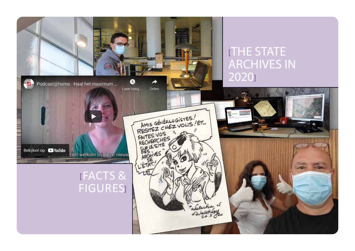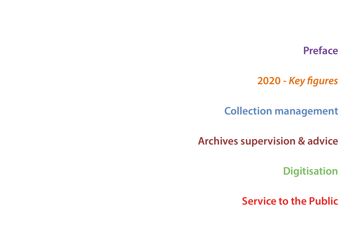#### **Preface**

**2020 -** *Key figures*

**Collection management**

**Archives supervision & advice**

**Digitisation**

**Service to the Public**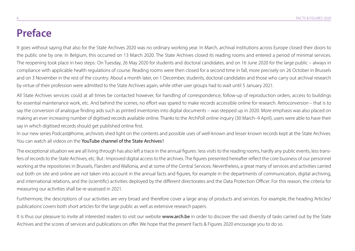#### **Preface**

It goes without saying that also for the State Archives 2020 was no ordinary working year. In March, archival institutions across Europe closed their doors to the public one by one. In Belgium, this occurred on 13 March 2020. The State Archives closed its reading rooms and entered a period of minimal services. The reopening took place in two steps: On Tuesday, 26 May 2020 for students and doctoral candidates, and on 16 June 2020 for the large public – always in compliance with applicable health regulations of course. Reading rooms were then closed for a second time in fall, more precisely on 26 October in Brussels and on 3 November in the rest of the country. About a month later, on 1 December, students, doctoral candidates and those who carry out archival research by virtue of their profession were admitted to the State Archives again, while other user groups had to wait until 5 January 2021.

All State Archives services could at all times be contacted however, for handling of correspondence, follow-up of reproduction orders, access to buildings for essential maintenance work, etc. And behind the scenes, no effort was spared to make records accessible online for research. *Retroconversion* – that is to say the conversion of analogue finding aids such as printed inventories into digital documents – was stepped up in 2020. More emphasis was also placed on making an ever increasing number of digitised records available online. Thanks to the ArchPoll online inquiry (30 March–9 April), users were able to have their say in which digitised records should get published online first.

In our new series Podcast@home, archivists shed light on the contents and possible uses of well-known and lesser known records kept at the State Archives. You can watch all videos on the YouTube channel of the State Archives!

The exceptional situation we are all living through has also left a trace in the annual figures: less visits to the reading rooms, hardly any public events, less transfers of records to the State Archives, etc. But: Improved digital access to the archives. The figures presented hereafter reflect the core business of our personnel working at the repositories in Brussels, Flanders and Wallonia, and at some of the Central Services. Nevertheless, a great many of services and activities carried out both on site and online are not taken into account in the annual facts and figures, for example in the departments of communication, digital archiving, and international relations, and the (scientific) activities deployed by the different directorates and the Data Protection Officer. For this reason, the criteria for measuring our activities shall be re-assessed in 2021.

Furthermore, the descriptions of our activities are very broad and therefore cover a large array of products and services. For example, the heading 'Articles/ publications' covers both short articles for the large public as well as extensive research papers.

It is thus our pleasure to invite all interested readers to visit our website www.arch.be in order to discover the vast diversity of tasks carried out by the State Archives and the scores of services and publications on offer. We hope that the present Facts & Figures 2020 encourage you to do so.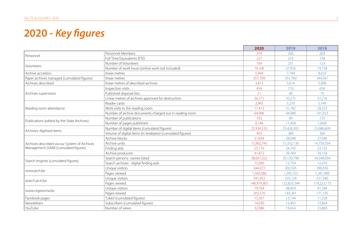## **2020 -** *Key figures*

|                                               |                                                            | 2020        | 2019        | 2018            |
|-----------------------------------------------|------------------------------------------------------------|-------------|-------------|-----------------|
|                                               | Personnel Members                                          | 259         | 266         | 269             |
| Personnel                                     | Full Time Equivalents (FTE)                                | 227         | 233         | 238             |
|                                               | Number of Volunteers                                       | 169         | 231         | 123             |
| Volunteers                                    | Number of work hours (online work not included)            | 19,106      | 37,916      | 19,738          |
| Archive accretion                             | linear metres                                              | 5.949       | 7.199       | 8.023           |
| Paper archives managed (cumulated figures)    | linear metres                                              | 357,709     | 351,760     | 344,561         |
| Archives described                            | linear metres of described archives                        | 3,813       | 3,614       | 5,008           |
|                                               | Inspection visits                                          | 454         | 710         | 656             |
| Archives supervision                          | Published disposal lists                                   | 21          | 40          | 10 <sup>1</sup> |
|                                               | Linear metres of archives approved for destruction         | 26,171      | 35,275      | 37,216          |
|                                               | Reader cards                                               | 2.945       | 5,270       | 5,149           |
| Reading room attendance                       | Work visits to the reading room                            | 17,413      | 31,782      | 28,253          |
|                                               | Number of archive documents charged out in reading room    | 64,906      | 94,088      | 101,023         |
|                                               | Number of publications                                     | 103         | 99          | 135             |
| Publications (edited by the State Archives)   | Number of pages published                                  | 8.746       | 11,458      | 12600           |
|                                               | Number of digital items (cumulated figures)                | 25,934,533  | 25,426,305  | 23,986,609      |
| Archives: digitised items                     | Volume of digital items (in terabytes) (cumulated figures) | 403         | 389         | 360             |
|                                               | Archive blocks                                             | 31,834      | 28,048      | 27,046          |
| Archives described via our System of Archives | Archive units                                              | 15,902,745  | 15,332,136  | 14,759,354      |
| Management (SAM) (cumulated figures)          | Finding aids                                               | 25,176      | 24,142      | 23,155          |
|                                               | Archive producers                                          | 41,872      | 39,769      | 39,156          |
|                                               | Search persons: names listed                               | 38,661,022  | 35,120,798  | 34,348,934      |
| Search engines (cumulated figures)            | Search archives - digital finding aids                     | 15,900      | 13,759      | 12,470          |
|                                               | Unique visitors                                            | 344.072     | 302,565     | 290,036         |
| www.arch.be                                   | Pages viewed                                               | 1,369,386   | 1,245,153   | 1,281,989       |
|                                               | Unique visitors                                            | 591,952     | 535,124     | 521,540         |
| search.arch.be                                | Pages viewed                                               | 148,979,901 | 132,825,544 | 119,223,173     |
|                                               | Unique visitors                                            | 79.764      | 48,954      | 41,184          |
| www.cegesoma.be                               | Pages viewed                                               | 205,576     | 183,301     | 171,105         |
| Facebook pages                                | "Likes" (cumulated figures)                                | 15,367      | 13,144      | 11,226          |
| Newsletters                                   | Subscribers (cumulated figures)                            | 14,030      | 13,403      | 12,864          |
| YouTube                                       | Number of views                                            | 32,086      | 19,654      | 23,800          |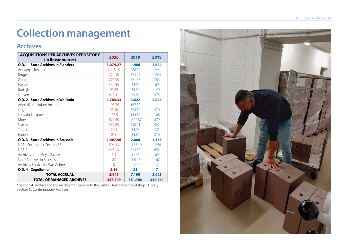# **Collection management**

#### **Archives**

| <b>ACQUISITIONS PER ARCHIVES REPOSITORY</b><br>(in linear metres) | 2020     | 2019     | 2018           |
|-------------------------------------------------------------------|----------|----------|----------------|
| <b>O.D. 1 - State Archives in Flanders</b>                        | 3,074.27 | 1,466    | 2,624          |
| Antwerp - Beveren                                                 | 1,115.49 | 288.20   | 244            |
| <b>Bruges</b>                                                     | 324.35   | 323.45   | 1,004          |
| Ghent                                                             | 275.35   | 681.65   | 783            |
| Hasselt                                                           | 444.58   | 34.30    | 69             |
| Kortrijk                                                          | 96.09    | 38.30    | 149            |
| Leuven                                                            | 818.41   | 99.88    | 375            |
| O.D. 2 - State Archives in Wallonia                               | 1,784.33 | 3,622    | 2,826          |
| Arlon (Saint-Hubert included)                                     | 108.75   | 187.87   |                |
| Liège                                                             | 92.48    | 795.30   | 570            |
| Louvain-la-Neuve                                                  | 155.5    | 145.16   | 108            |
| Mons                                                              | 827.45   | 1,372.87 | 879            |
| Namur                                                             | 366.85   | 950.21   | 922            |
| Tournai                                                           | 20.3     | 84.95    | 37             |
| Eupen                                                             | 213      | 85.80    | 310            |
| <b>O.D. 3 - State Archives in Brussels</b>                        | 1,087.96 | 2,088    | 2,566          |
| NAB - Section $4 +$ Section $5*$                                  | 596.33   | 1,153.10 | 1,678          |
| NAB <sub>2</sub>                                                  | 463.13   | 713.50   | 652            |
| Archives of the Royal Palace                                      | 1.5      | 11.00    | 69             |
| State Archives in Brussels                                        | 27       | 209.47   | 167            |
| Archives Service for War Victims                                  | $\Omega$ | 1.40     |                |
| O.D. 4 - CegeSoma                                                 | 2.36     | 23       | $\overline{ }$ |
| <b>TOTAL ACCRUAL</b>                                              | 5,949    | 7,199    | 8,023          |
| <b>TOTAL OF MANAGED ARCHIVES</b>                                  | 357,709  | 351,760  | 344,561        |

\* Section 4 : Archives of Ancien Regime - Service to the public - Restoration workshop - Library ; Section 5: Contemporary Archives.

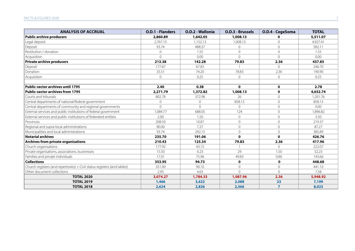| <b>ANALYSIS OF ACCRUAL</b>                                               | O.D.1 - Flanders | O.D.2 - Wallonia | O.D.3 - Brussels | O.D.4 - CegeSoma | <b>TOTAL</b> |
|--------------------------------------------------------------------------|------------------|------------------|------------------|------------------|--------------|
| <b>Public archive producers</b>                                          | 2,860.89         | 1,642.05         | 1,008.13         | $\Omega$         | 5,511.07     |
| Legal deposit                                                            | 2,767.15         | 1,152.13         | 1,008.13         | $\Omega$         | 4.927.41     |
| Deposit                                                                  | 93.74            | 488.37           | $\mathbf{0}$     | $\mathbf{0}$     | 582.11       |
| Restitution / donation                                                   | $\overline{0}$   | 1.55             | $\overline{0}$   | $\overline{0}$   | 1.55         |
| Acquisition                                                              | $\Omega$         | 0.00             | $\mathbf 0$      | $\Omega$         | 0.00         |
| <b>Private archive producers</b>                                         | 213.38           | 142.28           | 79.83            | 2.36             | 437.85       |
| Deposit                                                                  | 177.87           | 67.83            |                  | $\Omega$         | 246.70       |
| Donation                                                                 | 35.51            | 74.20            | 78.83            | 2.36             | 190.90       |
| Acquisition                                                              | $\mathbf{0}$     | 0.25             | $\overline{0}$   | $\overline{0}$   | 0.25         |
|                                                                          |                  |                  |                  |                  |              |
| <b>Public-sector archives until 1795</b>                                 | 2.40             | 0.38             | $\mathbf{0}$     | $\mathbf 0$      | 2.78         |
| <b>Public-sector archives from 1795</b>                                  | 2,271.79         | 1,372.82         | 1,008.13         | $\mathbf 0$      | 4,652.74     |
| Courts and tribunals                                                     | 802.78           | 372.98           | 26               | $\overline{0}$   | 1,201.76     |
| Central departments of national/federal government                       | 0                | 0                | 858.13           | $\overline{0}$   | 858.13       |
| Central departments of community and regional governments                | $\overline{0}$   | $\Omega$         | $\overline{0}$   | $\overline{0}$   | 0.00         |
| External services and public institutions of federal government          | 1,084.77         | 688.05           | 124              | $\overline{0}$   | 1,896.82     |
| External services and public institutions of federated entities          | 2.00             | 1.50             | $\overline{0}$   | $\Omega$         | 3.50         |
| Provinces                                                                | 208.50           | 10.87            | $\mathcal{O}$    | $\overline{0}$   | 219.37       |
| Regional and supra-local administrations                                 | 80.00            | 7.27             | $\Omega$         | $\overline{0}$   | 87.27        |
| Municipalities and local administrations                                 | 93.74            | 292.15           | $\overline{0}$   | $\overline{0}$   | 385.89       |
| <b>Notarial archives</b>                                                 | 235.70           | 191.06           | $\mathbf 0$      | $\mathbf 0$      | 426.76       |
| Archives from private organisations                                      | 210.43           | 125.34           | 79.83            | 2.36             | 417.96       |
| Church organisations                                                     | 177.92           | 43.15            |                  | $\Omega$         | 222.07       |
| Private organisations, associations, businesses                          | 15.50            | 6.23             | 29               | 1.50             | 52.23        |
| Families and private individuals                                         | 17.01            | 75.96            | 49.83            | 0.86             | 143.66       |
| <b>Collections</b>                                                       | 353.95           | 94.73            | $\mathbf 0$      | $\mathbf 0$      | 448.68       |
| Church registers (and repertories) + Civil status registers (and tables) | 351.00           | 90.10            | $\overline{0}$   | $\overline{0}$   | 441.10       |
| Other document collections                                               | 2.95             | 4.63             | $\Omega$         | $\Omega$         | 7.58         |
| <b>TOTAL 2020</b>                                                        | 3,074.27         | 1,784.33         | 1,087.96         | 2.36             | 5,948.92     |
| <b>TOTAL 2019</b>                                                        | 1,466            | 3,622            | 2,088            | 23               | 7,199        |
| <b>TOTAL 2018</b>                                                        | 2,624            | 2,826            | 2,566            | $\overline{7}$   | 8,023        |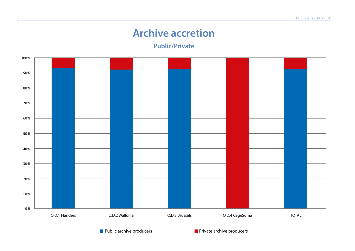#### **Archive accretion**

**Public/Private**



**Public archive producers** Private archive producers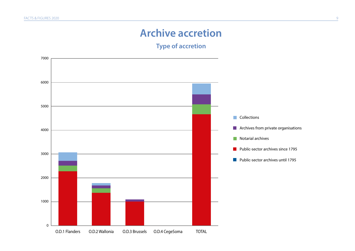### **Archive accretion**

**Type of accretion**

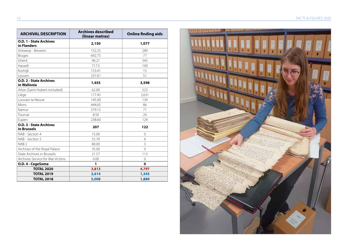| <b>ARCHIVAL DESCRIPTION</b>                   | <b>Archives described</b><br>(linear metres) | <b>Online finding aids</b> |
|-----------------------------------------------|----------------------------------------------|----------------------------|
| <b>O.D. 1 - State Archives</b><br>in Flanders | 2,150                                        | 1,077                      |
| Antwerp - Beveren                             | 152.25                                       | 289                        |
| <b>Bruges</b>                                 | 692.75                                       | 77                         |
| Ghent                                         | 96.21                                        | 545                        |
| Hasselt                                       | 717.5                                        | 100                        |
| Kortrijk                                      | 153.41                                       | 15                         |
| Leuven                                        | 337.61                                       | 51                         |
| O.D. 2 - State Archives<br>in Wallonia        | 1,455                                        | 3,598                      |
| Arlon (Saint-Hubert included)                 | 62.00                                        | 523                        |
| Liège                                         | 177.45                                       | 2,631                      |
| Louvain-la-Neuve                              | 145.00                                       | 139                        |
| Mons                                          | 444.65                                       | 86                         |
| Namur                                         | 379.15                                       | 71                         |
| Tournai                                       | 8.50                                         | 24                         |
| Eupen                                         | 238.60                                       | 124                        |
| <b>O.D. 3 - State Archives</b><br>in Brussels | 207                                          | 122                        |
| NAB - Section 4                               | 15.00                                        | $\Omega$                   |
| NAB - Section 5                               | 55.70                                        | 6                          |
| NAB <sub>2</sub>                              | 80.00                                        | 3                          |
| Archives of the Royal Palace                  | 35.00                                        | $\Omega$                   |
| State Archives in Brussels                    | 21.57                                        | 113                        |
| Archives Service for War Victims              | 0.00                                         | $\Omega$                   |
| O.D. 4 - CegeSoma                             | 1                                            | $\bf{0}$                   |
| <b>TOTAL 2020</b>                             | 3,813                                        | 4,797                      |
| <b>TOTAL 2019</b>                             | 3,614                                        | 1,343                      |
| <b>TOTAL 2018</b>                             | 5,008                                        | 1,889                      |

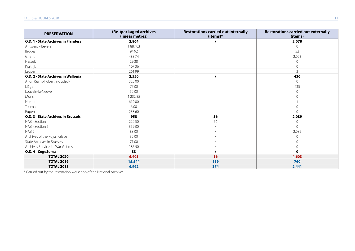| <b>PRESERVATION</b>                        | (Re-)packaged archives<br>(linear metres) | <b>Restorations carried out internally</b><br>(items)* | <b>Restorations carried out externally</b><br>(items) |
|--------------------------------------------|-------------------------------------------|--------------------------------------------------------|-------------------------------------------------------|
| O.D. 1 - State Archives in Flanders        | 2,864                                     |                                                        | 2,078                                                 |
| Antwerp - Beveren                          | 1.887.03                                  |                                                        | $\Omega$                                              |
| <b>Bruges</b>                              | 94.92                                     |                                                        | 52                                                    |
| Ghent                                      | 483.74                                    |                                                        | 2,023                                                 |
| Hasselt                                    | 29.38                                     |                                                        | $\Omega$                                              |
| Kortrijk                                   | 107.36                                    |                                                        | $\overline{0}$                                        |
| Leuven                                     | 261.99                                    |                                                        | $\overline{3}$                                        |
| O.D. 2 - State Archives in Wallonia        | 2,550                                     |                                                        | 436                                                   |
| Arlon (Saint-Hubert included)              | 325.00                                    |                                                        | $\overline{0}$                                        |
| Liège                                      | 77.00                                     |                                                        | 435                                                   |
| Louvain-la-Neuve                           | 52.00                                     |                                                        | $\circ$                                               |
| Mons                                       | 1,232.85                                  |                                                        | $\circ$                                               |
| Namur                                      | 619.00                                    |                                                        |                                                       |
| Tournai                                    | 6.00                                      |                                                        | $\overline{0}$                                        |
| Eupen                                      | 238.60                                    |                                                        | $\Omega$                                              |
| <b>O.D. 3 - State Archives in Brussels</b> | 958                                       | 56                                                     | 2,089                                                 |
| NAB - Section 4                            | 222.50                                    | 56                                                     | 0                                                     |
| NAB - Section 5                            | 359.00                                    |                                                        | $\circ$                                               |
| NAB <sub>2</sub>                           | 88.00                                     |                                                        | 2,089                                                 |
| Archives of the Royal Palace               | 32.00                                     |                                                        | $\overline{0}$                                        |
| State Archives in Brussels                 | 71.00                                     |                                                        | $\mathbf 0$                                           |
| Archives Service for War Victims           | 185.50                                    |                                                        | 0                                                     |
| O.D. 4 - CegeSoma                          | 33                                        |                                                        | $\mathbf{0}$                                          |
| <b>TOTAL 2020</b>                          | 6,405                                     | 56                                                     | 4,603                                                 |
| <b>TOTAL 2019</b>                          | 15,544                                    | 139                                                    | 760                                                   |
| <b>TOTAL 2018</b>                          | 6,962                                     | 374                                                    | 2,441                                                 |

\* Carried out by the restoration workshop of the National Archives.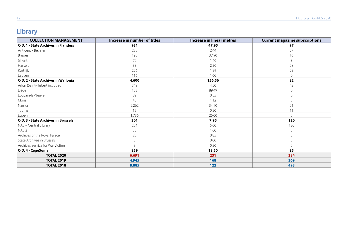#### **Library**

| <b>COLLECTION MANAGEMENT</b>               | Increase in number of titles | <b>Increase in linear metres</b> | <b>Current magazine subscriptions</b> |
|--------------------------------------------|------------------------------|----------------------------------|---------------------------------------|
| <b>O.D. 1 - State Archives in Flanders</b> | 931                          | 47.95                            | 97                                    |
| Antwerp - Beveren                          | 288                          | 2.44                             | 27                                    |
| Bruges                                     | 198                          | 37.90                            | 16                                    |
| Ghent                                      | 70                           | 1.46                             | $\mathbf{3}$                          |
| Hasselt                                    | 33                           | 2.50                             | 28                                    |
| Kortrijk                                   | 226                          | 1.99                             | 23                                    |
| Leuven                                     | 116                          | 1.66                             | $\Omega$                              |
| O.D. 2 - State Archives in Wallonia        | 4,600                        | 156.56                           | 82                                    |
| Arlon (Saint-Hubert included)              | 349                          | 4.50                             | 42                                    |
| Liège                                      | 103                          | 89.49                            | $\overline{0}$                        |
| Louvain-la-Neuve                           | 89                           | 0.85                             | $\overline{0}$                        |
| Mons                                       | 46                           | 1.12                             | 8                                     |
| Namur                                      | 2,262                        | 34.10                            | 21                                    |
| Tournai                                    | 15                           | 0.50                             | 11                                    |
| Eupen                                      | 1,736                        | 26.00                            | $\Omega$                              |
| O.D. 3 - State Archives in Brussels        | 301                          | 7.95                             | 120                                   |
| NAB - Central Library                      | 234                          | 5.60                             | 120                                   |
| NAB <sub>2</sub>                           | 33                           | 1.00                             | $\mathbf{0}$                          |
| Archives of the Royal Palace               | 26                           | 0.85                             | $\mathbf{0}$                          |
| State Archives in Brussels                 | $\sqrt{a}$                   | 0.00                             | $\mathbf{0}$                          |
| Archives Service for War Victims           | 8                            | 0.50                             | $\mathcal{O}$                         |
| O.D. 4 - CegeSoma                          | 859                          | 18.50                            | 85                                    |
| <b>TOTAL 2020</b>                          | 6,691                        | 231                              | 384                                   |
| <b>TOTAL 2019</b>                          | 4,945                        | 168                              | 369                                   |
| <b>TOTAL 2018</b>                          | 8,885                        | $122$                            | 493                                   |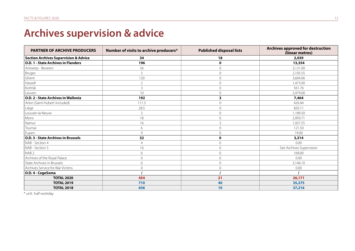# **Archives supervision & advice**

| <b>PARTNER OF ARCHIVE PRODUCERS</b>              | Number of visits to archive producers* | <b>Published disposal lists</b> | Archives approved for destruction<br>(linear metres) |
|--------------------------------------------------|----------------------------------------|---------------------------------|------------------------------------------------------|
| <b>Section Archives Supervision &amp; Advice</b> | 34                                     | 18                              | 2,039                                                |
| O.D. 1 - State Archives in Flanders              | 196                                    | $\mathbf 0$                     | 13,354                                               |
| Antwerp - Beveren                                | 56                                     | $\circ$                         | 3,131.00                                             |
| <b>Bruges</b>                                    | 5                                      | $\mathbf 0$                     | 2,105.55                                             |
| Ghent                                            | 120                                    | $\overline{0}$                  | 3,604.06                                             |
| Hasselt                                          | $\overline{2}$                         | $\overline{0}$                  | 1,473.00                                             |
| Kortrijk                                         | $\mathsf{3}$                           | $\overline{0}$                  | 561.76                                               |
| Leuven                                           | 10                                     | $\overline{0}$                  | 2,479.00                                             |
| O.D. 2 - State Archives in Wallonia              | 192                                    | 3                               | 7,464                                                |
| Arlon (Saint-Hubert included)                    | 111.5                                  | $\overline{0}$                  | 426.44                                               |
| Liège                                            | 28.5                                   | $\overline{0}$                  | 820.11                                               |
| Louvain-la-Neuve                                 | 3                                      | $\Omega$                        | 1,189.50                                             |
| Mons                                             | 18                                     | $\overline{O}$                  | 2,959.71                                             |
| Namur                                            | 16                                     | 3                               | 1,927.55                                             |
| Tournai                                          | 6                                      | $\overline{O}$                  | 121.50                                               |
| Eupen                                            | 9                                      | $\overline{0}$                  | 19.00                                                |
| <b>O.D. 3 - State Archives in Brussels</b>       | 32                                     | $\mathbf 0$                     | 3,314                                                |
| NAB - Section 4                                  | $\overline{4}$                         | $\mathbf{0}$                    | 0.00                                                 |
| NAB - Section 5                                  | 16                                     | $\overline{0}$                  | See Archives Supervision                             |
| NAB <sub>2</sub>                                 | 6                                      | $\overline{O}$                  | 168.00                                               |
| Archives of the Royal Palace                     | $\mathbf 0$                            | $\overline{0}$                  | 0.00                                                 |
| State Archives in Brussels                       | 6                                      | $\overline{0}$                  | 3,146.10                                             |
| Archives Service for War Victims                 | $\mathbf 0$                            | $\overline{0}$                  | 0.00                                                 |
| O.D. 4 - CegeSoma                                |                                        |                                 |                                                      |
| <b>TOTAL 2020</b>                                | 454                                    | 21                              | 26,171                                               |
| <b>TOTAL 2019</b>                                | 710                                    | 40                              | 35,275                                               |
| <b>TOTAL 2018</b>                                | 656                                    | 10                              | 37,216                                               |

\* unit: half workday.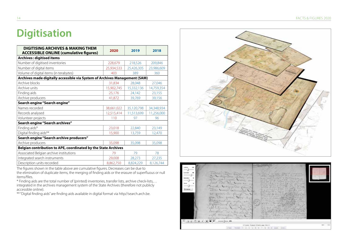#### **Digitisation**

| <b>DIGITISING ARCHIVES &amp; MAKING THEM</b><br><b>ACCESSIBLE ONLINE (cumulative figures)</b> | 2020       | 2019       | 2018       |
|-----------------------------------------------------------------------------------------------|------------|------------|------------|
| <b>Archives: digitised items</b>                                                              |            |            |            |
| Number of digitised inventories                                                               | 228,679    | 218,526    | 209,846    |
| Number of digital items                                                                       | 25,934,533 | 25,426,305 | 23,986,609 |
| Volume of digital items (in terabytes)                                                        | 403        | 389        | 360        |
| Archives made digitally accessible via System of Archives Management (SAM)                    |            |            |            |
| Archive blocks                                                                                | 31,834     | 28,048     | 27,046     |
| Archive units                                                                                 | 15,902,745 | 15,332,136 | 14,759,354 |
| Finding aids                                                                                  | 25,176     | 24,142     | 23,155     |
| Archive producers                                                                             | 41,872     | 39,769     | 39,156     |
| Search engine "Search engine"                                                                 |            |            |            |
| Names recorded                                                                                | 38,661,022 | 35,120,798 | 34,348,934 |
| Records analysed                                                                              | 12,515,414 | 11,513,699 | 11,256,000 |
| Volunteer projects                                                                            | 110        | 97         | 96         |
| Search engine "Search archives"                                                               |            |            |            |
| Finding aids*                                                                                 | 23,018     | 22,840     | 23,149     |
| Digital finding aids**                                                                        | 15,900     | 13,759     | 12,470     |
| Search engine "Search archive producers"                                                      |            |            |            |
| Archive producers                                                                             | 35,098     | 35,098     | 35,098     |
| Belgian contribution to APE, coordinated by the State Archives                                |            |            |            |
| Associated Belgian archive institutions                                                       | 79         | 79         | 78         |
| Integrated search instruments                                                                 | 29,008     | 28,273     | 27,235     |
| Description units recorded                                                                    | 8,862,750  | 8,824,229  | 8,126,744  |

The figures shown in the table above are cumulative figures. Decreases can be due to the elimination of duplicate items, the merging of finding aids or the erasure of superfluous or null items/files.

\* Finding aids are the total number of (printed) inventories, transfer lists, archive check-lists,… integrated in the archives management system of the State Archives (therefore not publicly accessible online).

\*\* "Digital finding aids" are finding aids available in digital format via http//search.arch.be.



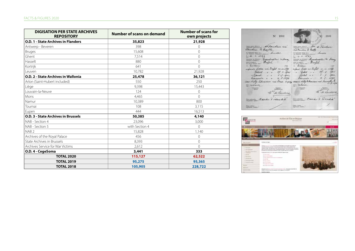| <b>DIGISATION PER STATE ARCHIVES</b><br><b>REPOSITORY</b> | Number of scans on demand | <b>Number of scans for</b><br>own projects |
|-----------------------------------------------------------|---------------------------|--------------------------------------------|
| <b>O.D. 1 - State Archives in Flanders</b>                | 35,823                    | 21,928                                     |
| Antwerp - Beveren                                         | 398                       | 0                                          |
| <b>Bruges</b>                                             | 15,608                    | $\mathbf 0$                                |
| Ghent                                                     | 7,514                     | $\Omega$                                   |
| Hasselt                                                   | 880                       | $\Omega$                                   |
| Kortrijk                                                  | 641                       | $\Omega$                                   |
| Leuven                                                    | 10.782                    | 21,928                                     |
| O.D. 2 - State Archives in Wallonia                       | 25,478                    | 36,121                                     |
| Arlon (Saint-Hubert included)                             | 550                       | 250                                        |
| Liège                                                     | 9,398                     | 15,443                                     |
| Louvain-la-Neuve                                          | 124                       | $\Omega$                                   |
| Mons                                                      | 4,465                     | $\Omega$                                   |
| Namur                                                     | 10.389                    | 800                                        |
| Tournai                                                   | 108                       | 3,115                                      |
| Eupen                                                     | 444                       | 16,513                                     |
| O.D. 3 - State Archives in Brussels                       | 50,385                    | 4,140                                      |
| NAB - Section 4                                           | 23,096                    | 3,000                                      |
| NAB - Section 5                                           | with Section 4            | $\Omega$                                   |
| NAB <sub>2</sub>                                          | 15,828                    | 1,140                                      |
| Archives of the Royal Palace                              | 456                       | $\mathbf 0$                                |
| State Archives in Brussels                                | 8.393                     | $\mathbf 0$                                |
| Archives Service for War Victims                          | 2,612                     | $\Omega$                                   |
| O.D. 4 - CegeSoma                                         | 3,441                     | 333                                        |
| <b>TOTAL 2020</b>                                         | 115,127                   | 62,522                                     |
| <b>TOTAL 2019</b>                                         | 95,275                    | 95,365                                     |
| <b>TOTAL 2018</b>                                         | 105,905                   | 228,722                                    |

**Grant** N: 1903 N: 1903 Sandwich de Touchur Touters to galle, amount to a comment decades  $\begin{array}{c}\n\hline\n\end{array}$ to the Sandwice  $\frac{1}{\sqrt{2\pi}\sqrt{2}}$ to the timbers moment Carter Videntile cartes ? Werk' **Berghtaus** 1  $\frac{1}{2}$ 

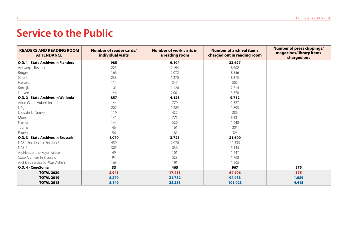## **Service to the Public**

| <b>READERS AND READING ROOM</b><br><b>ATTENDANCE</b> | Number of reader cards/<br>individual visits | Number of work visits in<br>a reading room | <b>Number of archival items</b><br>charged out in reading room | <b>Number of press clippings/</b><br>magazines/library items<br>charged out |
|------------------------------------------------------|----------------------------------------------|--------------------------------------------|----------------------------------------------------------------|-----------------------------------------------------------------------------|
| <b>O.D. 1 - State Archives in Flanders</b>           | 985                                          | 9,104                                      | 32,627                                                         |                                                                             |
| Antwerp - Beveren                                    | 225                                          | 2,194                                      | 8,602                                                          |                                                                             |
| <b>Bruges</b>                                        | 166                                          | 2,072                                      | 8,556                                                          |                                                                             |
| Ghent                                                | 233                                          | 1.370                                      | 8,875                                                          |                                                                             |
| Hasselt                                              | 114                                          | 347                                        | 502                                                            |                                                                             |
| Kortrijk                                             | 101                                          | 1,120                                      | 2,714                                                          |                                                                             |
| Leuven                                               | 146                                          | 2,001                                      | 3,378                                                          |                                                                             |
| O.D. 2 - State Archives in Wallonia                  | 857                                          | 4,123                                      | 9,712                                                          |                                                                             |
| Arlon (Saint-Hubert included)                        | 144                                          | 779                                        | 1,327                                                          |                                                                             |
| Liège                                                | 207                                          | 1,285                                      | 1,895                                                          |                                                                             |
| Louvain-la-Neuve                                     | 119                                          | 422                                        | 886                                                            |                                                                             |
| Mons                                                 | 141                                          | 775                                        | 3,331                                                          |                                                                             |
| Namur                                                | 144                                          | 520                                        | 1.648                                                          |                                                                             |
| Tournai                                              | 46                                           | 161                                        | 301                                                            |                                                                             |
| Eupen                                                | 56                                           | 181                                        | 324                                                            |                                                                             |
| <b>O.D. 3 - State Archives in Brussels</b>           | 1,070                                        | 3,721                                      | 21,600                                                         |                                                                             |
| NAB - Section 4 + Section 5                          | 459                                          | 2.070                                      | 11.335                                                         |                                                                             |
| NAB <sub>2</sub>                                     | 305                                          | 836                                        | 5,145                                                          |                                                                             |
| Archives of the Royal Palace                         | 49                                           | 101                                        | 1,447                                                          |                                                                             |
| State Archives in Brussels                           | 94                                           | 523                                        | 1.768                                                          |                                                                             |
| Archives Service for War Victims                     | 163                                          | 191                                        | 1,905                                                          |                                                                             |
| O.D. 4 - CegeSoma                                    | 33                                           | 465                                        | 967                                                            | 575                                                                         |
| <b>TOTAL 2020</b>                                    | 2,945                                        | 17,413                                     | 64,906                                                         | 575                                                                         |
| <b>TOTAL 2019</b>                                    | 5,270                                        | 31,782                                     | 94,088                                                         | 1,089                                                                       |
| <b>TOTAL 2018</b>                                    | 5,149                                        | 28,253                                     | 101,023                                                        | 4,415                                                                       |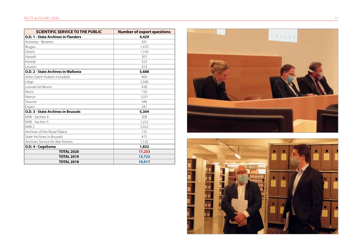| <b>SCIENTIFIC SERVICE TO THE PUBLIC</b>    | <b>Number of expert questions</b> |
|--------------------------------------------|-----------------------------------|
| <b>O.D. 1 - State Archives in Flanders</b> | 4,429                             |
| Antwerp - Beveren                          | 581                               |
| <b>Bruges</b>                              | 1,470                             |
| Ghent                                      | 1,334                             |
| Hasselt                                    | 307                               |
| Kortrijk                                   | 323                               |
| Leuven                                     | 414                               |
| O.D. 2 - State Archives in Wallonia        | 5,688                             |
| Arlon (Saint-Hubert included)              | 400                               |
| Liège                                      | 2,506                             |
| Louvain-la-Neuve                           | 438                               |
| Mons                                       | 726                               |
| Namur                                      | 1,031                             |
| Tournai                                    | 346                               |
| Eupen                                      | 241                               |
| <b>O.D. 3 - State Archives in Brussels</b> | 5,304                             |
| NAB - Section 4                            | 308                               |
| NAB - Section 5                            | 1,232                             |
| NAB <sub>2</sub>                           | 2,022                             |
| Archives of the Royal Palace               | 135                               |
| <b>State Archives in Brussels</b>          | 475                               |
| Archives Service for War Victims           | 1,132                             |
| O.D. 4 - CegeSoma                          | 1,832                             |
| <b>TOTAL 2020</b>                          | 17,253                            |
| <b>TOTAL 2019</b>                          | 15,722                            |
| <b>TOTAL 2018</b>                          | 19,917                            |



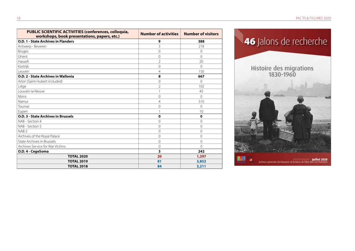| PUBLIC SCIENTIFIC ACTIVITIES (conferences, colloquia,<br>workshops, book presentations, papers, etc.) | <b>Number of activities</b> | <b>Number of visitors</b> |
|-------------------------------------------------------------------------------------------------------|-----------------------------|---------------------------|
| <b>O.D. 1 - State Archives in Flanders</b>                                                            | 9                           | 388                       |
| Antwerp - Beveren                                                                                     | 3                           | 218                       |
| <b>Bruges</b>                                                                                         | $\Omega$                    | $\Omega$                  |
| Ghent                                                                                                 | $\overline{0}$              | $\Omega$                  |
| Hasselt                                                                                               | $\overline{\phantom{a}}$    | 20                        |
| Kortrijk                                                                                              | $\Omega$                    | $\Omega$                  |
| Leuven                                                                                                | $\overline{4}$              | 150                       |
| O.D. 2 - State Archives in Wallonia                                                                   | 8                           | 667                       |
| Arlon (Saint-Hubert included)                                                                         | $\overline{0}$              | $\Omega$                  |
| Liège                                                                                                 | $\overline{2}$              | 102                       |
| Louvain-la-Neuve                                                                                      |                             | 45                        |
| Mons                                                                                                  | $\Omega$                    | $\Omega$                  |
| Namur                                                                                                 | $\overline{4}$              | 510                       |
| Tournai                                                                                               | $\Omega$                    | $\Omega$                  |
| Eupen                                                                                                 |                             | 10                        |
| O.D. 3 - State Archives in Brussels                                                                   | $\mathbf{o}$                | $\mathbf 0$               |
| NAB - Section 4                                                                                       | $\Omega$                    | $\Omega$                  |
| NAB - Section 5                                                                                       | $\Omega$                    | $\Omega$                  |
| NAB <sub>2</sub>                                                                                      | $\mathbf 0$                 | $\Omega$                  |
| Archives of the Royal Palace                                                                          | $\Omega$                    | $\Omega$                  |
| State Archives in Brussels                                                                            | $\Omega$                    | $\Omega$                  |
| Archives Service for War Victims                                                                      | $\overline{0}$              | $\Omega$                  |
| O.D. 4 - CegeSoma                                                                                     | 3                           | 242                       |
| <b>TOTAL 2020</b>                                                                                     | 20                          | 1,297                     |
| <b>TOTAL 2019</b>                                                                                     | 81                          | 3,852                     |
| <b>TOTAL 2018</b>                                                                                     | 84                          | 3,211                     |

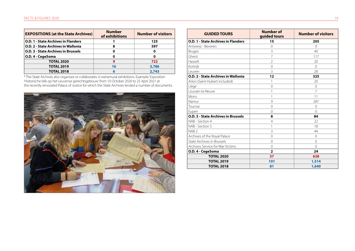| <b>EXPOSITIONS (at the State Archives)</b> | <b>Number</b><br>of exhibitions | <b>Number of visitors</b> |
|--------------------------------------------|---------------------------------|---------------------------|
| <b>O.D. 1 - State Archives in Flanders</b> |                                 | 125                       |
| <b>O.D. 2 - State Archives in Wallonia</b> | 8                               | 597                       |
| <b>O.D. 3 - State Archives in Brussels</b> |                                 | 0                         |
| O.D. 4 - CegeSoma                          | 0                               | 0                         |
| <b>TOTAL 2020</b>                          |                                 | 722                       |
| <b>TOTAL 2019</b>                          | 16                              | 3,786                     |
| <b>TOTAL 2018</b>                          | 6                               | 2,743                     |

\* The State Archives also organises or collaborates in extramural exhibitions. Example: Exposition 'Historische blik op het Leuvense gerechtsgebouw' from 10 October 2020 to 25 April 2021 at the recently renovated Palace of Justice for which the State Archives lended a number of documents.



| <b>GUIDED TOURS</b>                        | <b>Number of</b><br>guided tours | <b>Number of visitors</b> |
|--------------------------------------------|----------------------------------|---------------------------|
| <b>O.D. 1 - State Archives in Flanders</b> | 15                               | 205                       |
| Antwerp - Beveren                          | 0                                | $\Omega$                  |
| <b>Bruges</b>                              | 3                                | 40                        |
| Ghent                                      | 7                                | 117                       |
| Hasselt                                    | $\overline{2}$                   | 20                        |
| Kortrijk                                   | $\overline{0}$                   | $\Omega$                  |
| I euven                                    | 3                                | 28                        |
| <b>O.D. 2 - State Archives in Wallonia</b> | 12                               | 325                       |
| Arlon (Saint-Hubert included)              | 1                                | 20                        |
| Liège                                      | $\overline{O}$                   | $\Omega$                  |
| Louvain-la-Neuve                           | 1                                | 7                         |
| Mons                                       | 1                                | 11                        |
| Namur                                      | 9                                | 287                       |
| Tournai                                    | 0                                | $\Omega$                  |
| Eupen                                      | $\Omega$                         | $\Omega$                  |
| O.D. 3 - State Archives in Brussels        | 8                                | 84                        |
| NAB - Section 4                            | 4                                | 22                        |
| NAB - Section 5                            | 1                                | 18                        |
| NAB <sub>2</sub>                           | 3                                | 44                        |
| Archives of the Royal Palace               | 0                                | $\Omega$                  |
| State Archives in Brussels                 | $\Omega$                         | $\Omega$                  |
| Archives Service for War Victims           | $\overline{0}$                   | $\Omega$                  |
| O.D. 4 - CegeSoma                          | $\overline{2}$                   | 24                        |
| <b>TOTAL 2020</b>                          | 37                               | 638                       |
| <b>TOTAL 2019</b>                          | 101                              | 1,514                     |
| <b>TOTAL 2018</b>                          | 81                               | 1,640                     |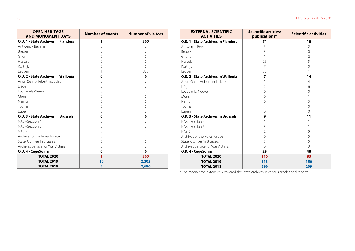| <b>OPEN HERITAGE</b><br><b>AND MONUMENT DAYS</b> | <b>Number of events</b> | <b>Number of visitors</b> |
|--------------------------------------------------|-------------------------|---------------------------|
| O.D. 1 - State Archives in Flanders              | 1                       | 300                       |
| Antwerp - Beveren                                | $\Omega$                | $\Omega$                  |
| <b>Bruges</b>                                    | $\mathbf{0}$            | $\overline{0}$            |
| Ghent                                            | $\mathbf 0$             | $\Omega$                  |
| Hasselt                                          | $\Omega$                | $\Omega$                  |
| Kortrijk                                         | $\overline{0}$          | $\Omega$                  |
| Leuven                                           | 1                       | 300                       |
| O.D. 2 - State Archives in Wallonia              | $\mathbf o$             | $\mathbf 0$               |
| Arlon (Saint-Hubert included)                    | $\Omega$                | $\Omega$                  |
| Liège                                            | $\overline{0}$          | $\Omega$                  |
| Louvain-la-Neuve                                 | $\Omega$                | $\Omega$                  |
| Mons                                             | $\Omega$                | $\Omega$                  |
| Namur                                            | $\Omega$                | $\Omega$                  |
| Tournai                                          | $\overline{0}$          | $\Omega$                  |
| Eupen                                            | $\mathbf 0$             | $\Omega$                  |
| <b>O.D. 3 - State Archives in Brussels</b>       | $\mathbf 0$             | 0                         |
| NAB - Section 4                                  | $\Omega$                | $\Omega$                  |
| NAB - Section 5                                  | $\Omega$                | $\Omega$                  |
| NAB <sub>2</sub>                                 | $\overline{0}$          | $\Omega$                  |
| Archives of the Royal Palace                     | $\Omega$                | $\Omega$                  |
| State Archives in Brussels                       | $\mathbf 0$             | $\overline{0}$            |
| Archives Service for War Victims                 | $\Omega$                | $\Omega$                  |
| O.D. 4 - CegeSoma                                | $\mathbf 0$             | $\mathbf 0$               |
| <b>TOTAL 2020</b>                                | 1                       | 300                       |
| <b>TOTAL 2019</b>                                | 10                      | 2,302                     |
| <b>TOTAL 2018</b>                                | 5                       | 2,686                     |

| <b>EXTERNAL SCIENTIFIC</b><br><b>ACTIVITIES</b> | <b>Scientific articles/</b><br>publications* | <b>Scientific activities</b> |
|-------------------------------------------------|----------------------------------------------|------------------------------|
| <b>O.D. 1 - State Archives in Flanders</b>      | 71                                           | 10                           |
| Antwerp - Beveren                               | 5                                            | $\mathfrak{D}$               |
| <b>Bruges</b>                                   | 3                                            | $\Omega$                     |
| Ghent                                           | 1                                            | 2                            |
| Hasselt                                         | 25                                           | 5                            |
| Kortrijk                                        | 7                                            | $\Omega$                     |
| Leuven                                          | 30                                           |                              |
| O.D. 2 - State Archives in Wallonia             | $\overline{z}$                               | 14                           |
| Arlon (Saint-Hubert included)                   | 1                                            | 4                            |
| Liège                                           | $\overline{2}$                               | 6                            |
| Louvain-la-Neuve                                | $\Omega$                                     | $\Omega$                     |
| Mons                                            | $\Omega$                                     | 1                            |
| Namur                                           | $\Omega$                                     | 3                            |
| Tournai                                         | $\overline{4}$                               | $\Omega$                     |
| Eupen                                           | $\Omega$                                     | $\Omega$                     |
| <b>O.D. 3 - State Archives in Brussels</b>      | 9                                            | 11                           |
| NAB - Section 4                                 | 1                                            |                              |
| NAB - Section 5                                 | 3                                            | 1                            |
| NAB <sub>2</sub>                                | $\overline{2}$                               | 9                            |
| Archives of the Royal Palace                    | $\Omega$                                     | $\Omega$                     |
| State Archives in Brussels                      | 3                                            | $\Omega$                     |
| Archives Service for War Victims                | $\Omega$                                     | $\Omega$                     |
| O.D. 4 - CegeSoma                               | 29                                           | 48                           |
| <b>TOTAL 2020</b>                               | 116                                          | 83                           |
| <b>TOTAL 2019</b>                               | 113                                          | 150                          |
| <b>TOTAL 2018</b>                               | 269                                          | 209                          |

\* The media have extensively covered the State Archives in various articles and reports.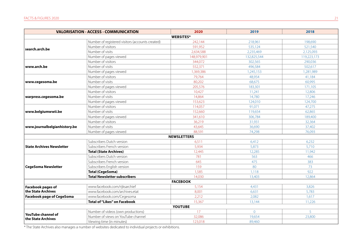|                                                 | <b>VALORISATION - ACCESS - COMMUNICATION</b>     | 2020               | 2019        | 2018        |
|-------------------------------------------------|--------------------------------------------------|--------------------|-------------|-------------|
|                                                 |                                                  | <b>WEBSITES*</b>   |             |             |
|                                                 | Number of registered visitors (accounts created) | 242,144            | 218,961     | 198,690     |
| search.arch.be                                  | Number of visitors                               | 591,952            | 535,124     | 521,540     |
|                                                 | Number of visits                                 | 2,634,588          | 2,235,469   | 2,125,093   |
|                                                 | Number of pages viewed                           | 148,979,901        | 132.825.544 | 119,223,173 |
|                                                 | Number of visitors                               | 344,072            | 302,565     | 290,036     |
| www.arch.be                                     | Number of visits                                 | 552,371            | 496,584     | 502,617     |
|                                                 | Number of pages viewed                           | 1,369,386          | 1,245,153   | 1,281,989   |
|                                                 | Number of visitors                               | 79,764             | 48,954      | 41,184      |
| www.cegesoma.be                                 | Number of visits                                 | 80,202             | 68,675      | 60,995      |
|                                                 | Number of pages viewed                           | 205,576            | 183,301     | 171,105     |
|                                                 | Number of visitors                               | 10,427             | 11,241      | 12,806      |
| warpress.cegesoma.be                            | Number of visits                                 | 14,864             | 14,780      | 17,246      |
|                                                 | Number of pages viewed                           | 153,623            | 124,010     | 124,700     |
|                                                 | Number of visitors                               | 114,057            | 91,071      | 47,275      |
| www.belgiumwwii.be                              | Number of visits                                 | 152,660            | 119,654     | 62,865      |
|                                                 | Number of pages viewed                           | 341,610            | 306,784     | 189,400     |
|                                                 | Number of visitors                               | 36,219             | 31,931      | 32,364      |
| www.journalbelgianhistory.be                    | Number of visits                                 | 43,645             | 36,690      | 37,402      |
|                                                 | Number of pages viewed                           | 88,591             | 74,298      | 76,093      |
|                                                 |                                                  | <b>NEWSLETTERS</b> |             |             |
|                                                 | Subscribers Dutch version                        | 6,511              | 6,412       | 6,232       |
| <b>State Archives Newsletter</b>                | Subscribers French version                       | 5,934              | 5,873       | 5,710       |
|                                                 | <b>Total (State Archives)</b>                    | 12,445             | 12,285      | 11,942      |
|                                                 | Subscribers Dutch version                        | 781                | 563         | 466         |
|                                                 | Subscribers French version                       | 645                | 475         | 383         |
| <b>CegeSoma Newsletter</b>                      | Subscribers English version                      | 159                | 80          | 73          |
|                                                 | <b>Total (CegeSoma)</b>                          | 1,585              | 1,118       | 922         |
|                                                 | <b>Total Newsletter subscribers</b>              | 14,030             | 13,403      | 12,864      |
|                                                 |                                                  | <b>FACEBOOK</b>    |             |             |
| <b>Facebook pages of</b>                        | www.facebook.com/rijksarchief                    | 5,154              | 4,431       | 3,826       |
| the State Archives                              | www.facebook.com/archives.etat                   | 8,001              | 6,631       | 5,783       |
| <b>Facebook page of CegeSoma</b>                | www.facebook.com/Cegesoma                        | 2,212              | 2,082       | 1,617       |
|                                                 | <b>Total of "Likes" on Facebook</b>              | 15,367             | 13,144      | 11,226      |
|                                                 |                                                  | YOUTUBE            |             |             |
|                                                 | Number of videos (own productions)               | 17                 | $\Omega$    | 5           |
| <b>YouTube channel of</b><br>the State Archives | Number of views on YouTube channel               | 32,086             | 19,654      | 23,800      |
|                                                 | Viewing time (in minutes)                        | 123,018            | 89,460      |             |

\* The State Archives also manages a number of websites dedicated to individual projects or exhibitions.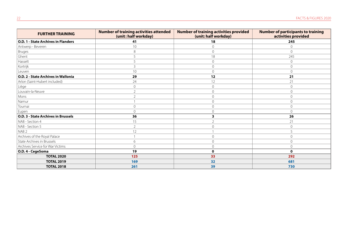| <b>FURTHER TRAINING</b>                    | <b>Number of training activities attended</b><br>(unit: half workday) | <b>Number of training activities provided</b><br>(unit: half workday) | <b>Number of participants to training</b><br>activities provided |
|--------------------------------------------|-----------------------------------------------------------------------|-----------------------------------------------------------------------|------------------------------------------------------------------|
| <b>O.D. 1 - State Archives in Flanders</b> | 41                                                                    | 18                                                                    | 245                                                              |
| Antwerp - Beveren                          | 10                                                                    | $\Omega$                                                              | 0                                                                |
| Bruges                                     | 8                                                                     | $\circ$                                                               | 0                                                                |
| Ghent                                      | 5                                                                     | 18                                                                    | 245                                                              |
| Hasselt                                    | 5                                                                     | $\Omega$                                                              | $\Omega$                                                         |
| Kortrijk                                   | 3                                                                     | $\circ$                                                               | 0                                                                |
| Leuven                                     | 10                                                                    | $\Omega$                                                              | $\Omega$                                                         |
| O.D. 2 - State Archives in Wallonia        | 29                                                                    | 12                                                                    | 21                                                               |
| Arlon (Saint-Hubert included)              | 24                                                                    | 12                                                                    | 21                                                               |
| Liège                                      | $\overline{0}$                                                        | $\mathbf{0}$                                                          | 0                                                                |
| Louvain-la-Neuve                           | $\overline{2}$                                                        | $\Omega$                                                              | $\Omega$                                                         |
| Mons                                       | $\overline{2}$                                                        | $\mathbf{0}$                                                          | 0                                                                |
| Namur                                      |                                                                       | $\mathbf{0}$                                                          | 0                                                                |
| Tournai                                    | $\overline{0}$                                                        | $\Omega$                                                              | $\Omega$                                                         |
| Eupen                                      | $\overline{0}$                                                        | $\Omega$                                                              | 0                                                                |
| <b>O.D. 3 - State Archives in Brussels</b> | 36                                                                    | 3                                                                     | 26                                                               |
| NAB - Section 4                            | 15                                                                    |                                                                       | 21                                                               |
| NAB - Section 5                            | $\overline{2}$                                                        | $\Omega$                                                              | 0                                                                |
| NAB <sub>2</sub>                           | 12                                                                    |                                                                       | 5                                                                |
| Archives of the Royal Palace               |                                                                       | $\Omega$                                                              | $\Omega$                                                         |
| State Archives in Brussels                 | 6                                                                     | $\Omega$                                                              | 0                                                                |
| Archives Service for War Victims           | $\mathbf{0}$                                                          | $\mathbf{0}$                                                          | 0                                                                |
| O.D. 4 - CegeSoma                          | 19                                                                    | $\mathbf 0$                                                           | 0                                                                |
| <b>TOTAL 2020</b>                          | 125                                                                   | 33                                                                    | 292                                                              |
| <b>TOTAL 2019</b>                          | 169                                                                   | 32                                                                    | 681                                                              |
| <b>TOTAL 2018</b>                          | 261                                                                   | 39                                                                    | 730                                                              |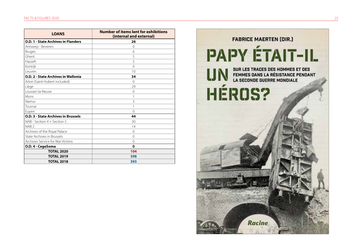| <b>LOANS</b>                               | <b>Number of items lent for exhibitions</b><br>(internal and external) |  |
|--------------------------------------------|------------------------------------------------------------------------|--|
| <b>O.D. 1 - State Archives in Flanders</b> | 26                                                                     |  |
| Antwerp - Beveren                          | $\Omega$                                                               |  |
| Bruges                                     | 6                                                                      |  |
| Ghent                                      | 5                                                                      |  |
| Hasselt                                    | 5                                                                      |  |
| Kortrijk                                   | $\Omega$                                                               |  |
| Leuven                                     | 10                                                                     |  |
| <b>O.D. 2 - State Archives in Wallonia</b> | 34                                                                     |  |
| Arlon (Saint-Hubert included)              | $\Omega$                                                               |  |
| Liège                                      | 29                                                                     |  |
| Louvain-la-Neuve                           | $\Omega$                                                               |  |
| Mons                                       | 1                                                                      |  |
| Namur                                      | 3                                                                      |  |
| Tournai                                    |                                                                        |  |
| Eupen                                      | $\Omega$                                                               |  |
| <b>O.D. 3 - State Archives in Brussels</b> | 44                                                                     |  |
| NAB - Section 4 + Section 5                | 30                                                                     |  |
| NAB <sub>2</sub>                           | 14                                                                     |  |
| Archives of the Royal Palace               | $\Omega$                                                               |  |
| State Archives in Brussels                 | $\Omega$                                                               |  |
| Archives Service for War Victims           | $\Omega$                                                               |  |
| O.D. 4 - CegeSoma                          | $\mathbf 0$                                                            |  |
| <b>TOTAL 2020</b>                          | 104                                                                    |  |
| <b>TOTAL 2019</b>                          | 398                                                                    |  |
| <b>TOTAL 2018</b>                          | 393                                                                    |  |